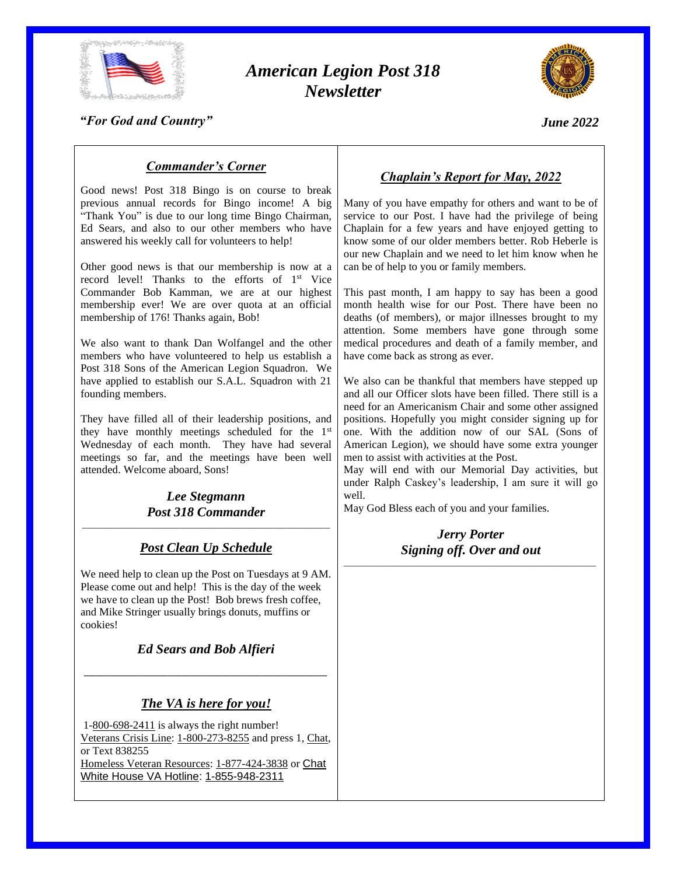

# *American Legion Post 318 Newsletter*



*"For God and Country"*

*June 2022*

# *Commander's Corner*

Good news! Post 318 Bingo is on course to break previous annual records for Bingo income! A big "Thank You" is due to our long time Bingo Chairman, Ed Sears, and also to our other members who have answered his weekly call for volunteers to help!

Other good news is that our membership is now at a record level! Thanks to the efforts of 1<sup>st</sup> Vice Commander Bob Kamman, we are at our highest membership ever! We are over quota at an official membership of 176! Thanks again, Bob!

We also want to thank Dan Wolfangel and the other members who have volunteered to help us establish a Post 318 Sons of the American Legion Squadron. We have applied to establish our S.A.L. Squadron with 21 founding members.

They have filled all of their leadership positions, and they have monthly meetings scheduled for the 1st Wednesday of each month. They have had several meetings so far, and the meetings have been well attended. Welcome aboard, Sons!

*Lee Stegmann Post 318 Commander* \_\_\_\_\_\_\_\_\_\_\_\_\_\_\_\_\_\_\_\_\_\_\_\_\_\_\_\_\_\_\_\_\_\_\_\_\_\_\_\_\_\_\_\_\_\_\_\_\_\_\_\_\_\_\_\_

# *Post Clean Up Schedule*

We need help to clean up the Post on Tuesdays at 9 AM. Please come out and help! This is the day of the week we have to clean up the Post! Bob brews fresh coffee, and Mike Stringer usually brings donuts, muffins or cookies!

*Ed Sears and Bob Alfieri*

*\_\_\_\_\_\_\_\_\_\_\_\_\_\_\_\_\_\_\_\_\_\_\_\_\_\_\_\_\_\_\_\_\_\_\_\_\_\_\_\_\_\_\_\_\_\_\_\_\_\_\_\_\_\_\_*

# *The VA is here for you!*

1[-800-698-2411](tel:18006982411) is always the right number! Veterans [Crisis Line:](https://lnks.gd/l/eyJhbGciOiJIUzI1NiJ9.eyJidWxsZXRpbl9saW5rX2lkIjoxMTgsInVyaSI6ImJwMjpjbGljayIsImJ1bGxldGluX2lkIjoiMjAyMjA1MDkuNTc2NTAxMzEiLCJ1cmwiOiJodHRwczovL3d3dy52ZXRlcmFuc2NyaXNpc2xpbmUubmV0Lz91dG1fc291cmNlPWZvb3RlciZ1dG1fbWVkaXVtPWVtYWlsJnV0bV9jYW1wYWlnbj1WZXRSZXNvdXJjZXMifQ.rP1Mz77ddmJFvX_vOFvig06EUQuTz_8LqHX_WPBJKd0/s/620948327/br/131039258999-l) [1-800-273-8255](tel:18002738255) and press 1, [Chat,](https://lnks.gd/l/eyJhbGciOiJIUzI1NiJ9.eyJidWxsZXRpbl9saW5rX2lkIjoxMTksInVyaSI6ImJwMjpjbGljayIsImJ1bGxldGluX2lkIjoiMjAyMjA1MDkuNTc2NTAxMzEiLCJ1cmwiOiJodHRwczovL3d3dy52ZXRlcmFuc2NyaXNpc2xpbmUubmV0L2dldC1oZWxwL2NoYXQvP3V0bV9zb3VyY2U9Zm9vdGVyJnV0bV9tZWRpdW09ZW1haWwmdXRtX2NhbXBhaWduPVZldFJlc291cmNlcyJ9.vc-f05y-5hH9bwU9qTzQmXGiexaks7HNEZE4J0T31_E/s/620948327/br/131039258999-l) or Text 838255 [Homeless Veteran Resources:](https://lnks.gd/l/eyJhbGciOiJIUzI1NiJ9.eyJidWxsZXRpbl9saW5rX2lkIjoxMjAsInVyaSI6ImJwMjpjbGljayIsImJ1bGxldGluX2lkIjoiMjAyMjA1MDkuNTc2NTAxMzEiLCJ1cmwiOiJodHRwczovL3d3dy52YS5nb3YvaG9tZWxlc3MvP3V0bV9zb3VyY2U9Zm9vdGVyJnV0bV9tZWRpdW09ZW1haWwmdXRtX2NhbXBhaWduPVZldFJlc291cmNlcyJ9.FudPQc0yPxVuqBpR-VWpT1ciP6NClPg5whv5e3xHDEY/s/620948327/br/131039258999-l) [1-877-424-3838](tel:18774243838) or [Chat](https://lnks.gd/l/eyJhbGciOiJIUzI1NiJ9.eyJidWxsZXRpbl9saW5rX2lkIjoxMjEsInVyaSI6ImJwMjpjbGljayIsImJ1bGxldGluX2lkIjoiMjAyMjA1MDkuNTc2NTAxMzEiLCJ1cmwiOiJodHRwczovL3Byb2R1Y3Rpb25jaGF0LnZybS52YmEudmEuZ292L3N5c3RlbS90ZW1wbGF0ZXMvY2hhdC9OQ0NIVi9jaGF0Lmh0bWw_ZW50cnlQb2ludElkPTEwMTYmdGVtcGxhdGVOYW1lPWtpd2kmbGFuZ3VhZ2VDb2RlPWVuJmNvdW50cnlDb2RlPVVTJnZlcj12MTEvP3V0bV9zb3VyY2U9Zm9vdGVyJnV0bV9tZWRpdW09ZW1haWwmdXRtX2NhbXBhaWduPVZldFJlc291cmNlcyJ9.SY6aMi_KxIzVZsYtDPsIhQje5HqJRT8V4Jn8VeIjUrs/s/620948327/br/131039258999-l) [White House VA Hotline:](https://lnks.gd/l/eyJhbGciOiJIUzI1NiJ9.eyJidWxsZXRpbl9saW5rX2lkIjoxMjIsInVyaSI6ImJwMjpjbGljayIsImJ1bGxldGluX2lkIjoiMjAyMjA1MDkuNTc2NTAxMzEiLCJ1cmwiOiJodHRwczovL3d3dy52YS5nb3YvdmUvd2h2YWhvdGxpbmUuYXNwLz91dG1fc291cmNlPWZvb3RlciZ1dG1fbWVkaXVtPWVtYWlsJnV0bV9jYW1wYWlnbj1WZXRSZXNvdXJjZXMifQ.9M2zpMHFuLuz-Cbjo8nr0gV4msV9WjJiXlxAimleVdo/s/620948327/br/131039258999-l) [1-855-948-2311](tel:+18559482311)

# *Chaplain's Report for May, 2022*

Many of you have empathy for others and want to be of service to our Post. I have had the privilege of being Chaplain for a few years and have enjoyed getting to know some of our older members better. Rob Heberle is our new Chaplain and we need to let him know when he can be of help to you or family members.

This past month, I am happy to say has been a good month health wise for our Post. There have been no deaths (of members), or major illnesses brought to my attention. Some members have gone through some medical procedures and death of a family member, and have come back as strong as ever.

We also can be thankful that members have stepped up and all our Officer slots have been filled. There still is a need for an Americanism Chair and some other assigned positions. Hopefully you might consider signing up for one. With the addition now of our SAL (Sons of American Legion), we should have some extra younger men to assist with activities at the Post.

May will end with our Memorial Day activities, but under Ralph Caskey's leadership, I am sure it will go well.

May God Bless each of you and your families.

#### *Jerry Porter Signing off. Over and out* \_\_\_\_\_\_\_\_\_\_\_\_\_\_\_\_\_\_\_\_\_\_\_\_\_\_\_\_\_\_\_\_\_\_\_\_\_\_\_\_\_\_\_\_\_\_\_\_\_\_\_\_\_\_\_\_\_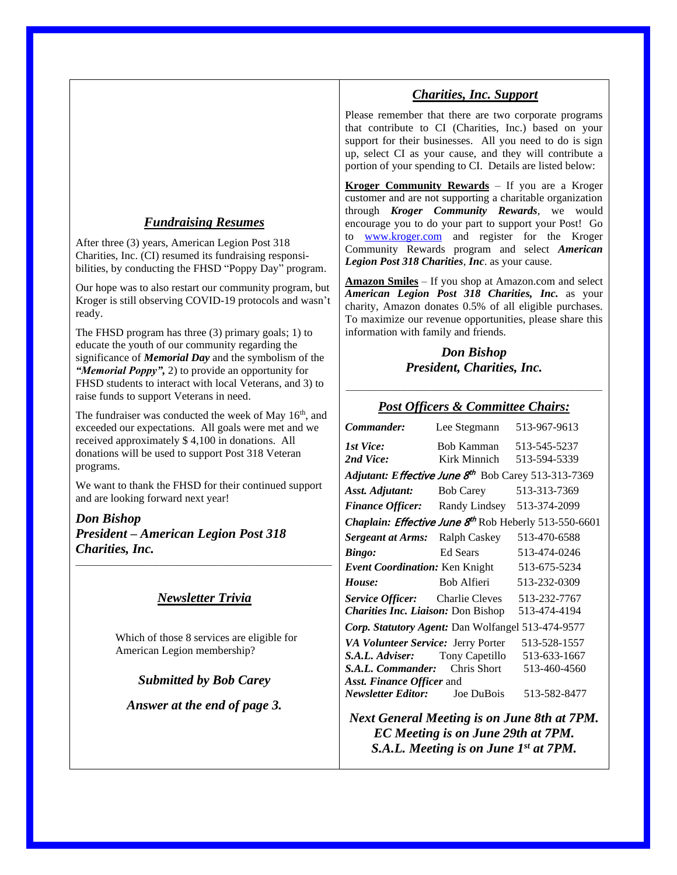# *Fundraising Resumes*

After three (3) years, American Legion Post 318 Charities, Inc. (CI) resumed its fundraising responsibilities, by conducting the FHSD "Poppy Day" program.

Our hope was to also restart our community program, but Kroger is still observing COVID-19 protocols and wasn't ready.

The FHSD program has three (3) primary goals; 1) to educate the youth of our community regarding the significance of *Memorial Day* and the symbolism of the *"Memorial Poppy",* 2) to provide an opportunity for FHSD students to interact with local Veterans, and 3) to raise funds to support Veterans in need.

The fundraiser was conducted the week of May 16<sup>th</sup>, and exceeded our expectations. All goals were met and we received approximately \$ 4,100 in donations. All donations will be used to support Post 318 Veteran programs.

We want to thank the FHSD for their continued support and are looking forward next year!

*Don Bishop President – American Legion Post 318 Charities, Inc.* \_\_\_\_\_\_\_\_\_\_\_\_\_\_\_\_\_\_\_\_\_\_\_\_\_\_\_\_\_\_\_\_\_\_\_\_\_\_\_\_\_\_\_\_\_\_\_\_\_\_\_\_\_\_\_\_\_\_

# *Newsletter Trivia*

Which of those 8 services are eligible for American Legion membership?

*Submitted by Bob Carey*

*Answer at the end of page 3.*

### *Charities, Inc. Support*

Please remember that there are two corporate programs that contribute to CI (Charities, Inc.) based on your support for their businesses. All you need to do is sign up, select CI as your cause, and they will contribute a portion of your spending to CI. Details are listed below:

**Kroger Community Rewards** – If you are a Kroger customer and are not supporting a charitable organization through *Kroger Community Rewards*, we would encourage you to do your part to support your Post! Go to [www.kroger.com](http://www.kroger.com/) and register for the Kroger Community Rewards program and select *American Legion Post 318 Charities*, *Inc*. as your cause.

**Amazon Smiles** – If you shop at Amazon.com and select *American Legion Post 318 Charities, Inc.* as your charity, Amazon donates 0.5% of all eligible purchases. To maximize our revenue opportunities, please share this information with family and friends.

#### *Don Bishop President, Charities, Inc.*

# \_\_\_\_\_\_\_\_\_\_\_\_\_\_\_\_\_\_\_\_\_\_\_\_\_\_\_\_\_\_\_\_\_\_\_\_\_\_\_\_\_\_\_\_\_\_\_\_\_\_\_\_\_\_\_\_\_\_ *Post Officers & Committee Chairs:*

| Commander:                                                                                                                                                                               | Lee Stegmann               | 513-967-9613                                                 |  |
|------------------------------------------------------------------------------------------------------------------------------------------------------------------------------------------|----------------------------|--------------------------------------------------------------|--|
| 1st Vice:<br>2nd Vice:                                                                                                                                                                   | Bob Kamman<br>Kirk Minnich | 513-545-5237<br>513-594-5339                                 |  |
| Adjutant: Effective June 8 <sup>th</sup> Bob Carey 513-313-7369                                                                                                                          |                            |                                                              |  |
| Asst. Adjutant:                                                                                                                                                                          | <b>Bob Carey</b>           | 513-313-7369                                                 |  |
| <b>Finance Officer:</b> Randy Lindsey                                                                                                                                                    |                            | 513-374-2099                                                 |  |
| Chaplain: Effective June 8 <sup>th</sup> Rob Heberly 513-550-6601                                                                                                                        |                            |                                                              |  |
| <b>Sergeant at Arms:</b>                                                                                                                                                                 | Ralph Caskey               | 513-470-6588                                                 |  |
| Bingo:                                                                                                                                                                                   | Ed Sears                   | 513-474-0246                                                 |  |
| Event Coordination: Ken Knight                                                                                                                                                           |                            | 513-675-5234                                                 |  |
| House:                                                                                                                                                                                   | Bob Alfieri                | 513-232-0309                                                 |  |
| <i>Service Officer:</i> Charlie Cleves<br><b>Charities Inc. Liaison: Don Bishop</b>                                                                                                      |                            | 513-232-7767<br>513-474-4194                                 |  |
| Corp. Statutory Agent: Dan Wolfangel 513-474-9577                                                                                                                                        |                            |                                                              |  |
| VA Volunteer Service: Jerry Porter<br><b>S.A.L. Adviser:</b> Tony Capetillo<br><b>S.A.L. Commander:</b> Chris Short<br>Asst. Finance Officer and<br><b>Newsletter Editor:</b> Joe DuBois |                            | 513-528-1557<br>513-633-1667<br>513-460-4560<br>513-582-8477 |  |
|                                                                                                                                                                                          |                            |                                                              |  |

*Next General Meeting is on June 8th at 7PM. EC Meeting is on June 29th at 7PM. S.A.L. Meeting is on June 1st at 7PM.*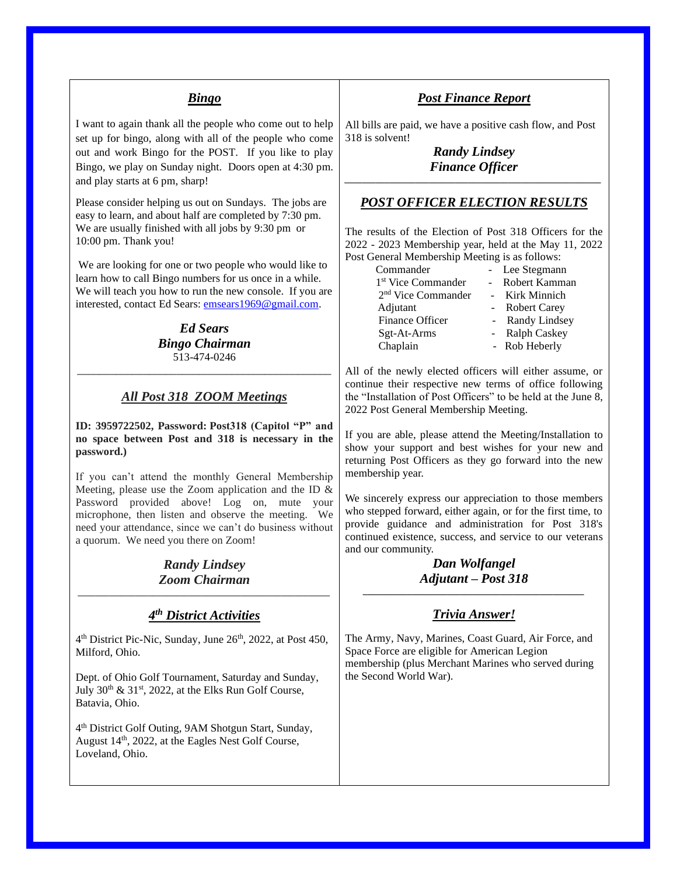### *Bingo*

I want to again thank all the people who come out to help set up for bingo, along with all of the people who come out and work Bingo for the POST. If you like to play Bingo, we play on Sunday night. Doors open at 4:30 pm. and play starts at 6 pm, sharp!

Please consider helping us out on Sundays. The jobs are easy to learn, and about half are completed by 7:30 pm. We are usually finished with all jobs by 9:30 pm or 10:00 pm. Thank you!

We are looking for one or two people who would like to learn how to call Bingo numbers for us once in a while. We will teach you how to run the new console. If you are interested, contact Ed Sears: [emsears1969@gmail.com.](mailto:emsears1969@gmail.com)

#### *Ed Sears Bingo Chairman* 513-474-0246

### *All Post 318 ZOOM Meetings*

\_\_\_\_\_\_\_\_\_\_\_\_\_\_\_\_\_\_\_\_\_\_\_\_\_\_\_\_\_\_\_\_\_\_\_\_\_\_\_\_\_\_\_\_\_\_

**ID: 3959722502, Password: Post318 (Capitol "P" and no space between Post and 318 is necessary in the password.)**

If you can't attend the monthly General Membership Meeting, please use the Zoom application and the ID & Password provided above! Log on, mute your microphone, then listen and observe the meeting. We need your attendance, since we can't do business without a quorum. We need you there on Zoom!

#### *Randy Lindsey Zoom Chairman \_\_\_\_\_\_\_\_\_\_\_\_\_\_\_\_\_\_\_\_\_\_\_\_\_\_\_\_\_\_\_\_\_\_\_\_\_\_\_\_\_\_\_\_\_\_\_\_\_\_\_\_\_\_\_\_\_*

### *4 th District Activities*

4<sup>th</sup> District Pic-Nic, Sunday, June 26<sup>th</sup>, 2022, at Post 450, Milford, Ohio.

Dept. of Ohio Golf Tournament, Saturday and Sunday, July  $30<sup>th</sup>$  &  $31<sup>st</sup>$ ,  $2022$ , at the Elks Run Golf Course, Batavia, Ohio.

4 th District Golf Outing, 9AM Shotgun Start, Sunday, August 14<sup>th</sup>, 2022, at the Eagles Nest Golf Course, Loveland, Ohio.

### *Post Finance Report*

All bills are paid, we have a positive cash flow, and Post 318 is solvent!

*Randy Lindsey Finance Officer \_\_\_\_\_\_\_\_\_\_\_\_\_\_\_\_\_\_\_\_\_\_\_\_\_\_\_\_\_\_\_\_\_\_\_\_\_\_\_\_\_\_\_\_\_\_\_\_\_\_\_\_\_\_\_\_\_\_*

#### *POST OFFICER ELECTION RESULTS*

The results of the Election of Post 318 Officers for the 2022 - 2023 Membership year, held at the May 11, 2022 Post General Membership Meeting is as follows:

Commander - Lee Stegmann 1<sup>st</sup> Vice Commander - Robert Kamman 2<sup>nd</sup> Vice Commander - Kirk Minnich Adjutant - Robert Carey Finance Officer - Randy Lindsey Sgt-At-Arms - Ralph Caskey Chaplain - Rob Heberly

All of the newly elected officers will either assume, or continue their respective new terms of office following the "Installation of Post Officers" to be held at the June 8, 2022 Post General Membership Meeting.

If you are able, please attend the Meeting/Installation to show your support and best wishes for your new and returning Post Officers as they go forward into the new membership year.

We sincerely express our appreciation to those members who stepped forward, either again, or for the first time, to provide guidance and administration for Post 318's continued existence, success, and service to our veterans and our community.

#### *Dan Wolfangel Adjutant – Post 318 \_\_\_\_\_\_\_\_\_\_\_\_\_\_\_\_\_\_\_\_\_\_\_\_\_\_\_\_\_\_\_\_\_\_\_\_\_\_\_\_\_\_\_\_\_\_\_\_\_\_*

#### *Trivia Answer!*

The Army, Navy, Marines, Coast Guard, Air Force, and Space Force are eligible for American Legion membership (plus Merchant Marines who served during the Second World War).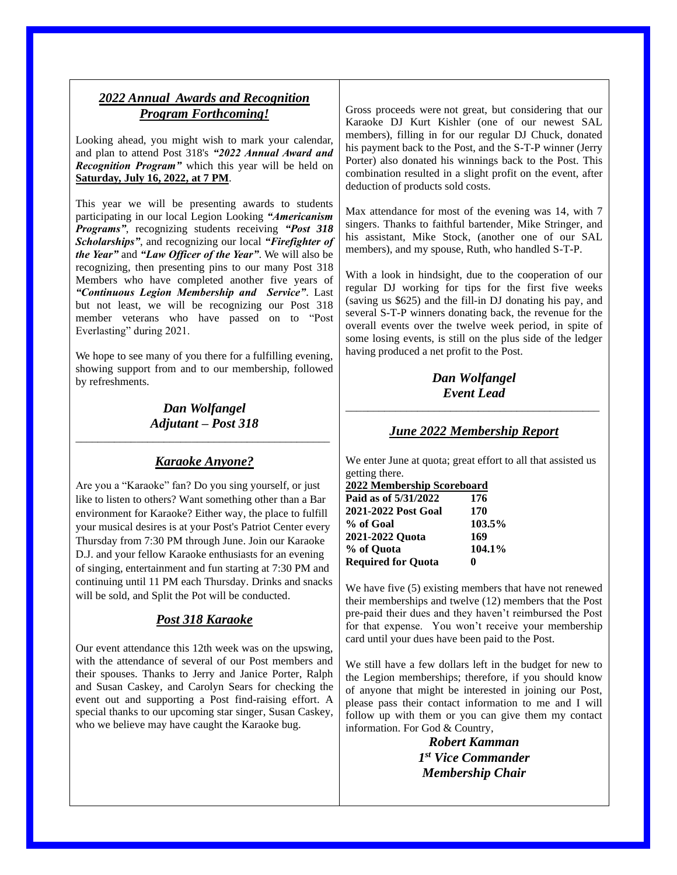# *2022 Annual Awards and Recognition Program Forthcoming!*

Looking ahead, you might wish to mark your calendar, and plan to attend Post 318's *"2022 Annual Award and Recognition Program"* which this year will be held on **Saturday, July 16, 2022, at 7 PM**.

This year we will be presenting awards to students participating in our local Legion Looking *"Americanism Programs"*, recognizing students receiving *"Post 318 Scholarships"*, and recognizing our local *"Firefighter of the Year"* and *"Law Officer of the Year"*. We will also be recognizing, then presenting pins to our many Post 318 Members who have completed another five years of *"Continuous Legion Membership and Service"*. Last but not least, we will be recognizing our Post 318 member veterans who have passed on to "Post Everlasting" during 2021.

We hope to see many of you there for a fulfilling evening, showing support from and to our membership, followed by refreshments.

#### *Dan Wolfangel Adjutant – Post 318* \_\_\_\_\_\_\_\_\_\_\_\_\_\_\_\_\_\_\_\_\_\_\_\_\_\_\_\_\_\_\_\_\_\_\_\_\_\_\_\_\_\_\_\_\_\_

### *Karaoke Anyone?*

Are you a "Karaoke" fan? Do you sing yourself, or just like to listen to others? Want something other than a Bar environment for Karaoke? Either way, the place to fulfill your musical desires is at your Post's Patriot Center every Thursday from 7:30 PM through June. Join our Karaoke D.J. and your fellow Karaoke enthusiasts for an evening of singing, entertainment and fun starting at 7:30 PM and continuing until 11 PM each Thursday. Drinks and snacks will be sold, and Split the Pot will be conducted.

### *Post 318 Karaoke*

Our event attendance this 12th week was on the upswing, with the attendance of several of our Post members and their spouses. Thanks to Jerry and Janice Porter, Ralph and Susan Caskey, and Carolyn Sears for checking the event out and supporting a Post find-raising effort. A special thanks to our upcoming star singer, Susan Caskey, who we believe may have caught the Karaoke bug.

Gross proceeds were not great, but considering that our Karaoke DJ Kurt Kishler (one of our newest SAL members), filling in for our regular DJ Chuck, donated his payment back to the Post, and the S-T-P winner (Jerry Porter) also donated his winnings back to the Post. This combination resulted in a slight profit on the event, after deduction of products sold costs.

Max attendance for most of the evening was 14, with 7 singers. Thanks to faithful bartender, Mike Stringer, and his assistant, Mike Stock, (another one of our SAL members), and my spouse, Ruth, who handled S-T-P.

With a look in hindsight, due to the cooperation of our regular DJ working for tips for the first five weeks (saving us \$625) and the fill-in DJ donating his pay, and several S-T-P winners donating back, the revenue for the overall events over the twelve week period, in spite of some losing events, is still on the plus side of the ledger having produced a net profit to the Post.

### *Dan Wolfangel Event Lead*

\_\_\_\_\_\_\_\_\_\_\_\_\_\_\_\_\_\_\_\_\_\_\_\_\_\_\_\_\_\_\_\_\_\_\_\_\_\_\_\_\_\_\_\_\_\_

### *June 2022 Membership Report*

We enter June at quota; great effort to all that assisted us getting there.

| 2022 Membership Scoreboard |        |
|----------------------------|--------|
| Paid as of 5/31/2022       | 176    |
| 2021-2022 Post Goal        | 170    |
| % of Goal                  | 103.5% |
| 2021-2022 Quota            | 169    |
| % of Quota                 | 104.1% |
| <b>Required for Quota</b>  |        |

We have five (5) existing members that have not renewed their memberships and twelve (12) members that the Post pre-paid their dues and they haven't reimbursed the Post for that expense. You won't receive your membership card until your dues have been paid to the Post.

We still have a few dollars left in the budget for new to the Legion memberships; therefore, if you should know of anyone that might be interested in joining our Post, please pass their contact information to me and I will follow up with them or you can give them my contact information. For God & Country,

> *Robert Kamman 1 st Vice Commander Membership Chair*